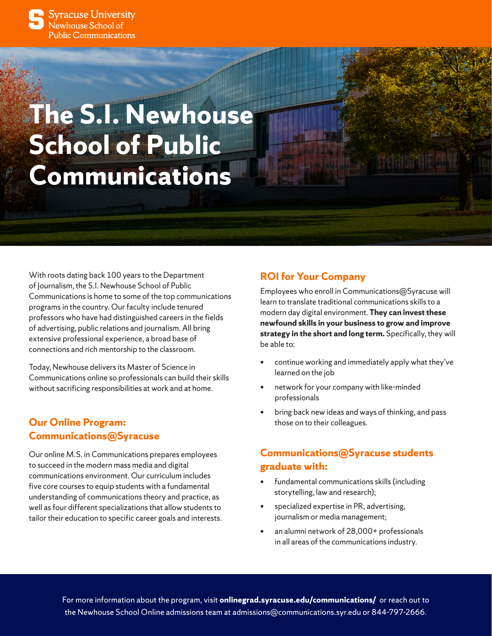

**Syracuse University** ,<br>lewhouse School of Public Communications

# **The S.I. Newhouse School of Public Communications**

With roots dating back 100 years to the Department of Journalism, the S.I. Newhouse School of Public Communications is home to some of the top communications programs in the country. Our faculty include tenured professors who have had distinguished careers in the fields of advertising, public relations and journalism. All bring extensive professional experience, a broad base of connections and rich mentorship to the classroom.

Today, Newhouse delivers its Master of Science in Communications online so professionals can build their skills without sacrificing responsibilities at work and at home.

## **Our Online Program: Communications@Syracuse**

Our online M.S. in Communications prepares employees to succeed in the modern mass media and digital communications environment. Our curriculum includes five core courses to equip students with a fundamental understanding of communications theory and practice, as well as four different specializations that allow students to tailor their education to specific career goals and interests.

## **ROI for Your Company**

Employees who enroll in Communications@Syracuse will learn to translate traditional communications skills to a modern day digital environment. **They can invest these newfound skills in your business to grow and improve strategy in the short and long term.** Specifically, they will be able to:

- continue working and immediately apply what they've learned on the job
- network for your company with like-minded professionals
- bring back new ideas and ways of thinking, and pass those on to their colleagues.

# **Communications@Syracuse students graduate with:**

- fundamental communications skills (including storytelling, law and research);
- specialized expertise in PR, advertising, journalism or media management;
- an alumni network of 28,000+ professionals in all areas of the communications industry.

For more information about the program, visit **[onlinegrad.syracuse.edu/communications/](https://onlinegrad.syracuse.edu/communications/)** or reach out to the Newhouse School Online admissions team at [admissions@communications.syr.edu](mailto:admissions%40communications.syr.edu?subject=) or 844-797-2666.